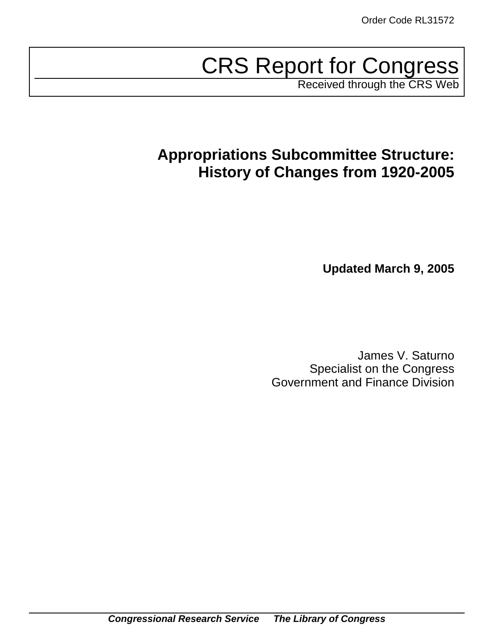# CRS Report for Congress

Received through the CRS Web

# **Appropriations Subcommittee Structure: History of Changes from 1920-2005**

**Updated March 9, 2005**

James V. Saturno Specialist on the Congress Government and Finance Division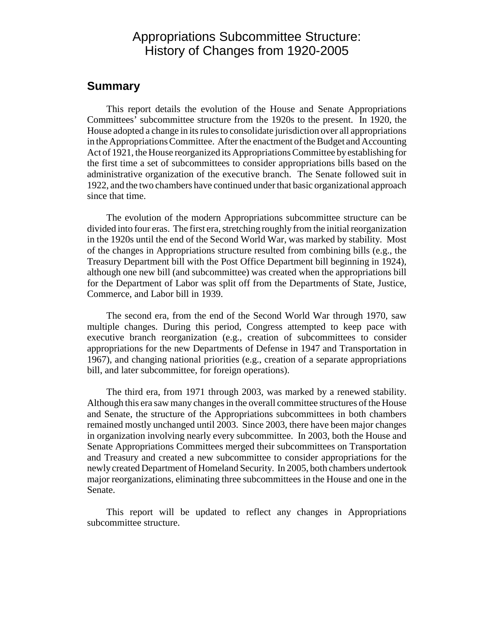### Appropriations Subcommittee Structure: History of Changes from 1920-2005

#### **Summary**

This report details the evolution of the House and Senate Appropriations Committees' subcommittee structure from the 1920s to the present. In 1920, the House adopted a change in its rules to consolidate jurisdiction over all appropriations in the Appropriations Committee. After the enactment of the Budget and Accounting Act of 1921, the House reorganized its Appropriations Committee by establishing for the first time a set of subcommittees to consider appropriations bills based on the administrative organization of the executive branch. The Senate followed suit in 1922, and the two chambers have continued under that basic organizational approach since that time.

The evolution of the modern Appropriations subcommittee structure can be divided into four eras. The first era, stretching roughly from the initial reorganization in the 1920s until the end of the Second World War, was marked by stability. Most of the changes in Appropriations structure resulted from combining bills (e.g., the Treasury Department bill with the Post Office Department bill beginning in 1924), although one new bill (and subcommittee) was created when the appropriations bill for the Department of Labor was split off from the Departments of State, Justice, Commerce, and Labor bill in 1939.

The second era, from the end of the Second World War through 1970, saw multiple changes. During this period, Congress attempted to keep pace with executive branch reorganization (e.g., creation of subcommittees to consider appropriations for the new Departments of Defense in 1947 and Transportation in 1967), and changing national priorities (e.g., creation of a separate appropriations bill, and later subcommittee, for foreign operations).

The third era, from 1971 through 2003, was marked by a renewed stability. Although this era saw many changes in the overall committee structures of the House and Senate, the structure of the Appropriations subcommittees in both chambers remained mostly unchanged until 2003. Since 2003, there have been major changes in organization involving nearly every subcommittee. In 2003, both the House and Senate Appropriations Committees merged their subcommittees on Transportation and Treasury and created a new subcommittee to consider appropriations for the newly created Department of Homeland Security. In 2005, both chambers undertook major reorganizations, eliminating three subcommittees in the House and one in the Senate.

This report will be updated to reflect any changes in Appropriations subcommittee structure.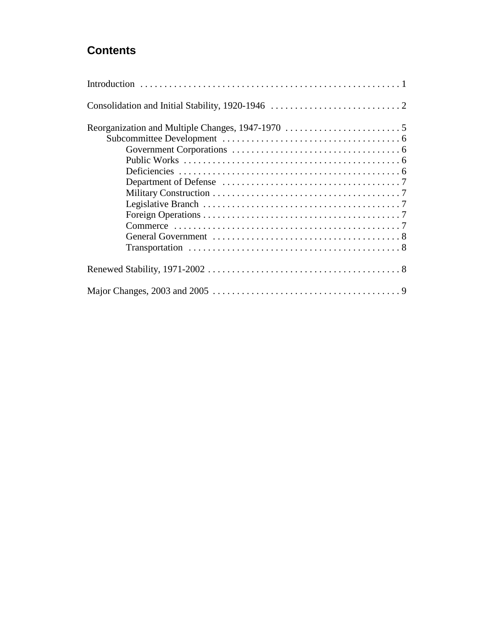### **Contents**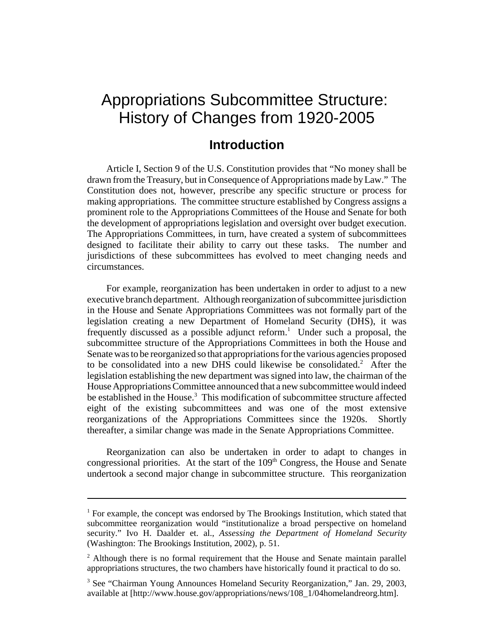# Appropriations Subcommittee Structure: History of Changes from 1920-2005

## **Introduction**

Article I, Section 9 of the U.S. Constitution provides that "No money shall be drawn from the Treasury, but in Consequence of Appropriations made by Law." The Constitution does not, however, prescribe any specific structure or process for making appropriations. The committee structure established by Congress assigns a prominent role to the Appropriations Committees of the House and Senate for both the development of appropriations legislation and oversight over budget execution. The Appropriations Committees, in turn, have created a system of subcommittees designed to facilitate their ability to carry out these tasks. The number and jurisdictions of these subcommittees has evolved to meet changing needs and circumstances.

For example, reorganization has been undertaken in order to adjust to a new executive branch department. Although reorganization of subcommittee jurisdiction in the House and Senate Appropriations Committees was not formally part of the legislation creating a new Department of Homeland Security (DHS), it was frequently discussed as a possible adjunct reform.<sup>1</sup> Under such a proposal, the subcommittee structure of the Appropriations Committees in both the House and Senate was to be reorganized so that appropriations for the various agencies proposed to be consolidated into a new DHS could likewise be consolidated.<sup>2</sup> After the legislation establishing the new department was signed into law, the chairman of the House Appropriations Committee announced that a new subcommittee would indeed be established in the House.<sup>3</sup> This modification of subcommittee structure affected eight of the existing subcommittees and was one of the most extensive reorganizations of the Appropriations Committees since the 1920s. Shortly thereafter, a similar change was made in the Senate Appropriations Committee.

Reorganization can also be undertaken in order to adapt to changes in congressional priorities. At the start of the  $109<sup>th</sup>$  Congress, the House and Senate undertook a second major change in subcommittee structure. This reorganization

<sup>&</sup>lt;sup>1</sup> For example, the concept was endorsed by The Brookings Institution, which stated that subcommittee reorganization would "institutionalize a broad perspective on homeland security." Ivo H. Daalder et. al., *Assessing the Department of Homeland Security* (Washington: The Brookings Institution, 2002), p. 51.

<sup>&</sup>lt;sup>2</sup> Although there is no formal requirement that the House and Senate maintain parallel appropriations structures, the two chambers have historically found it practical to do so.

<sup>&</sup>lt;sup>3</sup> See "Chairman Young Announces Homeland Security Reorganization," Jan. 29, 2003, available at [http://www.house.gov/appropriations/news/108\_1/04homelandreorg.htm].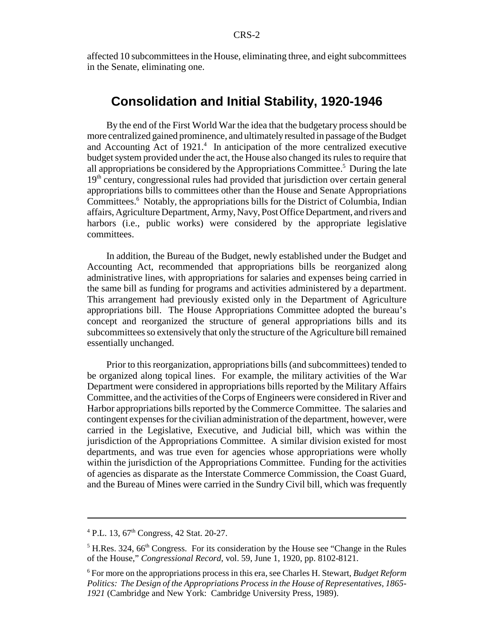affected 10 subcommittees in the House, eliminating three, and eight subcommittees in the Senate, eliminating one.

#### **Consolidation and Initial Stability, 1920-1946**

By the end of the First World War the idea that the budgetary process should be more centralized gained prominence, and ultimately resulted in passage of the Budget and Accounting Act of 1921.<sup>4</sup> In anticipation of the more centralized executive budget system provided under the act, the House also changed its rules to require that all appropriations be considered by the Appropriations Committee.<sup>5</sup> During the late 19<sup>th</sup> century, congressional rules had provided that jurisdiction over certain general appropriations bills to committees other than the House and Senate Appropriations Committees.<sup>6</sup> Notably, the appropriations bills for the District of Columbia, Indian affairs, Agriculture Department, Army, Navy, Post Office Department, and rivers and harbors (i.e., public works) were considered by the appropriate legislative committees.

In addition, the Bureau of the Budget, newly established under the Budget and Accounting Act, recommended that appropriations bills be reorganized along administrative lines, with appropriations for salaries and expenses being carried in the same bill as funding for programs and activities administered by a department. This arrangement had previously existed only in the Department of Agriculture appropriations bill. The House Appropriations Committee adopted the bureau's concept and reorganized the structure of general appropriations bills and its subcommittees so extensively that only the structure of the Agriculture bill remained essentially unchanged.

Prior to this reorganization, appropriations bills (and subcommittees) tended to be organized along topical lines. For example, the military activities of the War Department were considered in appropriations bills reported by the Military Affairs Committee, and the activities of the Corps of Engineers were considered in River and Harbor appropriations bills reported by the Commerce Committee. The salaries and contingent expenses for the civilian administration of the department, however, were carried in the Legislative, Executive, and Judicial bill, which was within the jurisdiction of the Appropriations Committee. A similar division existed for most departments, and was true even for agencies whose appropriations were wholly within the jurisdiction of the Appropriations Committee. Funding for the activities of agencies as disparate as the Interstate Commerce Commission, the Coast Guard, and the Bureau of Mines were carried in the Sundry Civil bill, which was frequently

<sup>&</sup>lt;sup>4</sup> P.L. 13, 67<sup>th</sup> Congress, 42 Stat. 20-27.

 $<sup>5</sup>$  H.Res. 324, 66<sup>th</sup> Congress. For its consideration by the House see "Change in the Rules</sup> of the House," *Congressional Record*, vol. 59, June 1, 1920, pp. 8102-8121.

<sup>6</sup> For more on the appropriations process in this era, see Charles H. Stewart, *Budget Reform Politics: The Design of the Appropriations Process in the House of Representatives, 1865- 1921* (Cambridge and New York: Cambridge University Press, 1989).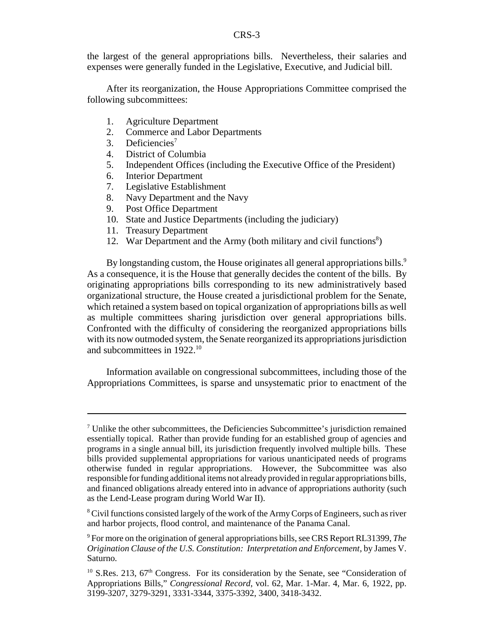the largest of the general appropriations bills. Nevertheless, their salaries and expenses were generally funded in the Legislative, Executive, and Judicial bill.

After its reorganization, the House Appropriations Committee comprised the following subcommittees:

- 1. Agriculture Department
- 2. Commerce and Labor Departments
- 3. Deficiencies<sup>7</sup>
- 4. District of Columbia
- 5. Independent Offices (including the Executive Office of the President)
- 6. Interior Department
- 7. Legislative Establishment
- 8. Navy Department and the Navy
- 9. Post Office Department
- 10. State and Justice Departments (including the judiciary)
- 11. Treasury Department
- 12. War Department and the Army (both military and civil functions<sup>8</sup>)

By longstanding custom, the House originates all general appropriations bills.<sup>9</sup> As a consequence, it is the House that generally decides the content of the bills. By originating appropriations bills corresponding to its new administratively based organizational structure, the House created a jurisdictional problem for the Senate, which retained a system based on topical organization of appropriations bills as well as multiple committees sharing jurisdiction over general appropriations bills. Confronted with the difficulty of considering the reorganized appropriations bills with its now outmoded system, the Senate reorganized its appropriations jurisdiction and subcommittees in 1922.<sup>10</sup>

Information available on congressional subcommittees, including those of the Appropriations Committees, is sparse and unsystematic prior to enactment of the

<sup>&</sup>lt;sup>7</sup> Unlike the other subcommittees, the Deficiencies Subcommittee's jurisdiction remained essentially topical. Rather than provide funding for an established group of agencies and programs in a single annual bill, its jurisdiction frequently involved multiple bills. These bills provided supplemental appropriations for various unanticipated needs of programs otherwise funded in regular appropriations. However, the Subcommittee was also responsible for funding additional items not already provided in regular appropriations bills, and financed obligations already entered into in advance of appropriations authority (such as the Lend-Lease program during World War II).

<sup>&</sup>lt;sup>8</sup> Civil functions consisted largely of the work of the Army Corps of Engineers, such as river and harbor projects, flood control, and maintenance of the Panama Canal.

<sup>9</sup> For more on the origination of general appropriations bills, see CRS Report RL31399, *The Origination Clause of the U.S. Constitution: Interpretation and Enforcement*, by James V. Saturno.

 $10$  S.Res. 213, 67<sup>th</sup> Congress. For its consideration by the Senate, see "Consideration of Appropriations Bills," *Congressional Record*, vol. 62, Mar. 1-Mar. 4, Mar. 6, 1922, pp. 3199-3207, 3279-3291, 3331-3344, 3375-3392, 3400, 3418-3432.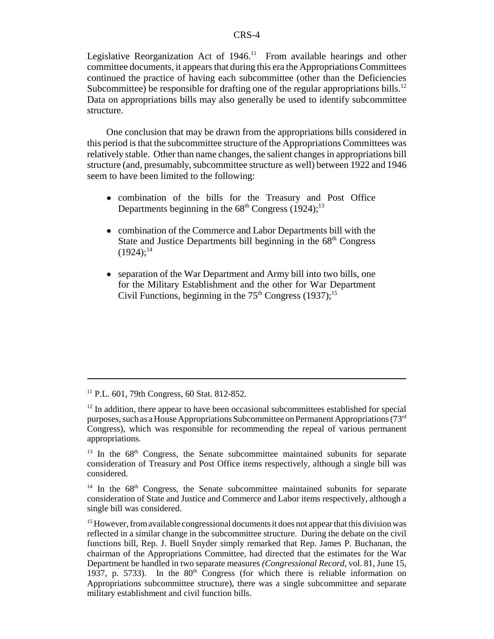Legislative Reorganization Act of  $1946$ .<sup>11</sup> From available hearings and other committee documents, it appears that during this era the Appropriations Committees continued the practice of having each subcommittee (other than the Deficiencies Subcommittee) be responsible for drafting one of the regular appropriations bills.<sup>12</sup> Data on appropriations bills may also generally be used to identify subcommittee structure.

One conclusion that may be drawn from the appropriations bills considered in this period is that the subcommittee structure of the Appropriations Committees was relatively stable. Other than name changes, the salient changes in appropriations bill structure (and, presumably, subcommittee structure as well) between 1922 and 1946 seem to have been limited to the following:

- ! combination of the bills for the Treasury and Post Office Departments beginning in the  $68<sup>th</sup>$  Congress (1924);<sup>13</sup>
- ! combination of the Commerce and Labor Departments bill with the State and Justice Departments bill beginning in the  $68<sup>th</sup>$  Congress  $(1924);^{14}$
- separation of the War Department and Army bill into two bills, one for the Military Establishment and the other for War Department Civil Functions, beginning in the  $75<sup>th</sup>$  Congress (1937);<sup>15</sup>

 $11$  P.L. 601, 79th Congress, 60 Stat. 812-852.

 $12$  In addition, there appear to have been occasional subcommittees established for special purposes, such as a House Appropriations Subcommittee on Permanent Appropriations (73rd Congress), which was responsible for recommending the repeal of various permanent appropriations.

<sup>&</sup>lt;sup>13</sup> In the  $68<sup>th</sup>$  Congress, the Senate subcommittee maintained subunits for separate consideration of Treasury and Post Office items respectively, although a single bill was considered.

 $14$  In the  $68<sup>th</sup>$  Congress, the Senate subcommittee maintained subunits for separate consideration of State and Justice and Commerce and Labor items respectively, although a single bill was considered.

<sup>&</sup>lt;sup>15</sup> However, from available congressional documents it does not appear that this division was reflected in a similar change in the subcommittee structure. During the debate on the civil functions bill, Rep. J. Buell Snyder simply remarked that Rep. James P. Buchanan, the chairman of the Appropriations Committee, had directed that the estimates for the War Department be handled in two separate measures *(Congressional Record*, vol. 81, June 15, 1937, p. 5733). In the  $80<sup>th</sup>$  Congress (for which there is reliable information on Appropriations subcommittee structure), there was a single subcommittee and separate military establishment and civil function bills.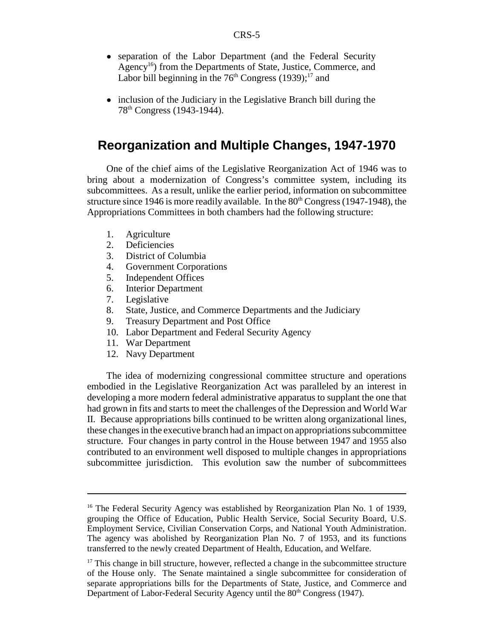- separation of the Labor Department (and the Federal Security Agency<sup>16</sup>) from the Departments of State, Justice, Commerce, and Labor bill beginning in the  $76<sup>th</sup>$  Congress (1939);<sup>17</sup> and
- inclusion of the Judiciary in the Legislative Branch bill during the 78th Congress (1943-1944).

#### **Reorganization and Multiple Changes, 1947-1970**

One of the chief aims of the Legislative Reorganization Act of 1946 was to bring about a modernization of Congress's committee system, including its subcommittees. As a result, unlike the earlier period, information on subcommittee structure since 1946 is more readily available. In the  $80<sup>th</sup>$  Congress (1947-1948), the Appropriations Committees in both chambers had the following structure:

- 1. Agriculture
- 2. Deficiencies
- 3. District of Columbia
- 4. Government Corporations
- 5. Independent Offices
- 6. Interior Department
- 7. Legislative
- 8. State, Justice, and Commerce Departments and the Judiciary
- 9. Treasury Department and Post Office
- 10. Labor Department and Federal Security Agency
- 11. War Department
- 12. Navy Department

The idea of modernizing congressional committee structure and operations embodied in the Legislative Reorganization Act was paralleled by an interest in developing a more modern federal administrative apparatus to supplant the one that had grown in fits and starts to meet the challenges of the Depression and World War II. Because appropriations bills continued to be written along organizational lines, these changes in the executive branch had an impact on appropriations subcommittee structure. Four changes in party control in the House between 1947 and 1955 also contributed to an environment well disposed to multiple changes in appropriations subcommittee jurisdiction. This evolution saw the number of subcommittees

<sup>&</sup>lt;sup>16</sup> The Federal Security Agency was established by Reorganization Plan No. 1 of 1939, grouping the Office of Education, Public Health Service, Social Security Board, U.S. Employment Service, Civilian Conservation Corps, and National Youth Administration. The agency was abolished by Reorganization Plan No. 7 of 1953, and its functions transferred to the newly created Department of Health, Education, and Welfare.

 $17$  This change in bill structure, however, reflected a change in the subcommittee structure of the House only. The Senate maintained a single subcommittee for consideration of separate appropriations bills for the Departments of State, Justice, and Commerce and Department of Labor-Federal Security Agency until the 80<sup>th</sup> Congress (1947).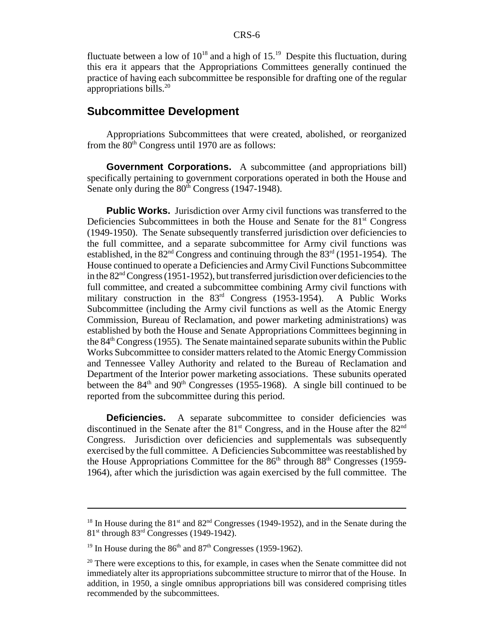fluctuate between a low of  $10^{18}$  and a high of  $15.^{19}$  Despite this fluctuation, during this era it appears that the Appropriations Committees generally continued the practice of having each subcommittee be responsible for drafting one of the regular appropriations bills.<sup>20</sup>

#### **Subcommittee Development**

Appropriations Subcommittees that were created, abolished, or reorganized from the  $80<sup>th</sup>$  Congress until 1970 are as follows:

**Government Corporations.** A subcommittee (and appropriations bill) specifically pertaining to government corporations operated in both the House and Senate only during the  $80<sup>th</sup>$  Congress (1947-1948).

**Public Works.** Jurisdiction over Army civil functions was transferred to the Deficiencies Subcommittees in both the House and Senate for the 81<sup>st</sup> Congress (1949-1950). The Senate subsequently transferred jurisdiction over deficiencies to the full committee, and a separate subcommittee for Army civil functions was established, in the  $82<sup>nd</sup>$  Congress and continuing through the  $83<sup>rd</sup>$  (1951-1954). The House continued to operate a Deficiencies and Army Civil Functions Subcommittee in the 82nd Congress (1951-1952), but transferred jurisdiction over deficiencies to the full committee, and created a subcommittee combining Army civil functions with military construction in the 83<sup>rd</sup> Congress (1953-1954). A Public Works Subcommittee (including the Army civil functions as well as the Atomic Energy Commission, Bureau of Reclamation, and power marketing administrations) was established by both the House and Senate Appropriations Committees beginning in the 84<sup>th</sup> Congress (1955). The Senate maintained separate subunits within the Public Works Subcommittee to consider matters related to the Atomic Energy Commission and Tennessee Valley Authority and related to the Bureau of Reclamation and Department of the Interior power marketing associations. These subunits operated between the  $84<sup>th</sup>$  and  $90<sup>th</sup>$  Congresses (1955-1968). A single bill continued to be reported from the subcommittee during this period.

**Deficiencies.** A separate subcommittee to consider deficiencies was discontinued in the Senate after the  $81<sup>st</sup>$  Congress, and in the House after the  $82<sup>nd</sup>$ Congress. Jurisdiction over deficiencies and supplementals was subsequently exercised by the full committee. A Deficiencies Subcommittee was reestablished by the House Appropriations Committee for the  $86<sup>th</sup>$  through  $88<sup>th</sup>$  Congresses (1959-1964), after which the jurisdiction was again exercised by the full committee. The

<sup>&</sup>lt;sup>18</sup> In House during the  $81<sup>st</sup>$  and  $82<sup>nd</sup>$  Congresses (1949-1952), and in the Senate during the 81st through 83rd Congresses (1949-1942).

<sup>&</sup>lt;sup>19</sup> In House during the  $86<sup>th</sup>$  and  $87<sup>th</sup>$  Congresses (1959-1962).

 $20$  There were exceptions to this, for example, in cases when the Senate committee did not immediately alter its appropriations subcommittee structure to mirror that of the House. In addition, in 1950, a single omnibus appropriations bill was considered comprising titles recommended by the subcommittees.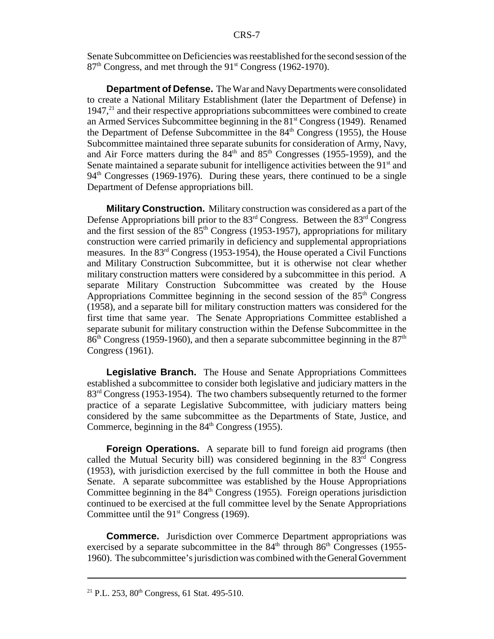Senate Subcommittee on Deficiencies was reestablished for the second session of the 87<sup>th</sup> Congress, and met through the 91<sup>st</sup> Congress (1962-1970).

**Department of Defense.** The War and Navy Departments were consolidated to create a National Military Establishment (later the Department of Defense) in  $1947<sup>21</sup>$  and their respective appropriations subcommittees were combined to create an Armed Services Subcommittee beginning in the  $81<sup>st</sup>$  Congress (1949). Renamed the Department of Defense Subcommittee in the  $84<sup>th</sup>$  Congress (1955), the House Subcommittee maintained three separate subunits for consideration of Army, Navy, and Air Force matters during the  $84<sup>th</sup>$  and  $85<sup>th</sup>$  Congresses (1955-1959), and the Senate maintained a separate subunit for intelligence activities between the  $91<sup>st</sup>$  and  $94<sup>th</sup> Congresses$  (1969-1976). During these years, there continued to be a single Department of Defense appropriations bill.

**Military Construction.** Military construction was considered as a part of the Defense Appropriations bill prior to the  $83<sup>rd</sup>$  Congress. Between the  $83<sup>rd</sup>$  Congress and the first session of the  $85<sup>th</sup>$  Congress (1953-1957), appropriations for military construction were carried primarily in deficiency and supplemental appropriations measures. In the 83rd Congress (1953-1954), the House operated a Civil Functions and Military Construction Subcommittee, but it is otherwise not clear whether military construction matters were considered by a subcommittee in this period. A separate Military Construction Subcommittee was created by the House Appropriations Committee beginning in the second session of the  $85<sup>th</sup>$  Congress (1958), and a separate bill for military construction matters was considered for the first time that same year. The Senate Appropriations Committee established a separate subunit for military construction within the Defense Subcommittee in the  $86<sup>th</sup> Congress$  (1959-1960), and then a separate subcommittee beginning in the  $87<sup>th</sup>$ Congress (1961).

**Legislative Branch.** The House and Senate Appropriations Committees established a subcommittee to consider both legislative and judiciary matters in the 83<sup>rd</sup> Congress (1953-1954). The two chambers subsequently returned to the former practice of a separate Legislative Subcommittee, with judiciary matters being considered by the same subcommittee as the Departments of State, Justice, and Commerce, beginning in the  $84<sup>th</sup>$  Congress (1955).

**Foreign Operations.** A separate bill to fund foreign aid programs (then called the Mutual Security bill) was considered beginning in the  $83<sup>rd</sup>$  Congress (1953), with jurisdiction exercised by the full committee in both the House and Senate. A separate subcommittee was established by the House Appropriations Committee beginning in the  $84<sup>th</sup>$  Congress (1955). Foreign operations jurisdiction continued to be exercised at the full committee level by the Senate Appropriations Committee until the  $91<sup>st</sup> Congress$  (1969).

**Commerce.** Jurisdiction over Commerce Department appropriations was exercised by a separate subcommittee in the  $84<sup>th</sup>$  through  $86<sup>th</sup>$  Congresses (1955-1960). The subcommittee's jurisdiction was combined with the General Government

<sup>&</sup>lt;sup>21</sup> P.L. 253,  $80^{th}$  Congress, 61 Stat. 495-510.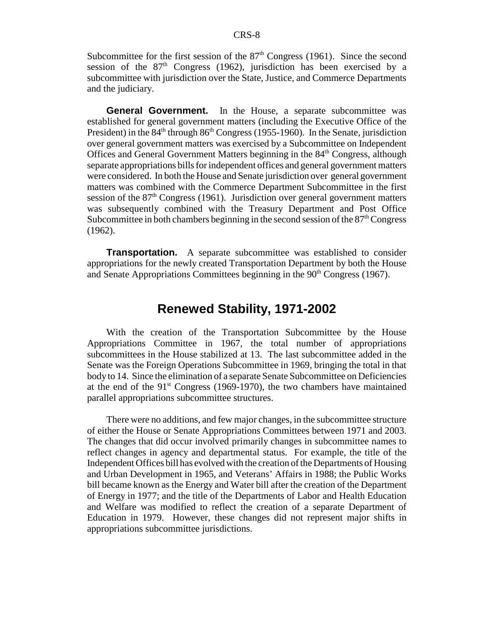Subcommittee for the first session of the  $87<sup>th</sup>$  Congress (1961). Since the second session of the  $87<sup>th</sup>$  Congress (1962), jurisdiction has been exercised by a subcommittee with jurisdiction over the State, Justice, and Commerce Departments and the judiciary.

**General Government.** In the House, a separate subcommittee was established for general government matters (including the Executive Office of the President) in the  $84<sup>th</sup>$  through  $86<sup>th</sup>$  Congress (1955-1960). In the Senate, jurisdiction over general government matters was exercised by a Subcommittee on Independent Offices and General Government Matters beginning in the 84th Congress, although separate appropriations bills for independent offices and general government matters were considered. In both the House and Senate jurisdiction over general government matters was combined with the Commerce Department Subcommittee in the first session of the  $87<sup>th</sup>$  Congress (1961). Jurisdiction over general government matters was subsequently combined with the Treasury Department and Post Office Subcommittee in both chambers beginning in the second session of the  $87<sup>th</sup>$  Congress (1962).

**Transportation.** A separate subcommittee was established to consider appropriations for the newly created Transportation Department by both the House and Senate Appropriations Committees beginning in the  $90<sup>th</sup> Congress$  (1967).

#### **Renewed Stability, 1971-2002**

With the creation of the Transportation Subcommittee by the House Appropriations Committee in 1967, the total number of appropriations subcommittees in the House stabilized at 13. The last subcommittee added in the Senate was the Foreign Operations Subcommittee in 1969, bringing the total in that body to 14. Since the elimination of a separate Senate Subcommittee on Deficiencies at the end of the  $91<sup>st</sup>$  Congress (1969-1970), the two chambers have maintained parallel appropriations subcommittee structures.

There were no additions, and few major changes, in the subcommittee structure of either the House or Senate Appropriations Committees between 1971 and 2003. The changes that did occur involved primarily changes in subcommittee names to reflect changes in agency and departmental status. For example, the title of the Independent Offices bill has evolved with the creation of the Departments of Housing and Urban Development in 1965, and Veterans' Affairs in 1988; the Public Works bill became known as the Energy and Water bill after the creation of the Department of Energy in 1977; and the title of the Departments of Labor and Health Education and Welfare was modified to reflect the creation of a separate Department of Education in 1979. However, these changes did not represent major shifts in appropriations subcommittee jurisdictions.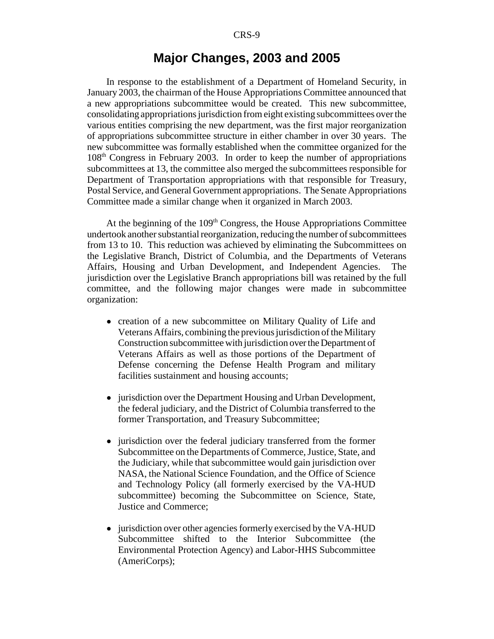#### **Major Changes, 2003 and 2005**

In response to the establishment of a Department of Homeland Security, in January 2003, the chairman of the House Appropriations Committee announced that a new appropriations subcommittee would be created. This new subcommittee, consolidating appropriations jurisdiction from eight existing subcommittees over the various entities comprising the new department, was the first major reorganization of appropriations subcommittee structure in either chamber in over 30 years. The new subcommittee was formally established when the committee organized for the 108th Congress in February 2003. In order to keep the number of appropriations subcommittees at 13, the committee also merged the subcommittees responsible for Department of Transportation appropriations with that responsible for Treasury, Postal Service, and General Government appropriations. The Senate Appropriations Committee made a similar change when it organized in March 2003.

At the beginning of the  $109<sup>th</sup>$  Congress, the House Appropriations Committee undertook another substantial reorganization, reducing the number of subcommittees from 13 to 10. This reduction was achieved by eliminating the Subcommittees on the Legislative Branch, District of Columbia, and the Departments of Veterans Affairs, Housing and Urban Development, and Independent Agencies. The jurisdiction over the Legislative Branch appropriations bill was retained by the full committee, and the following major changes were made in subcommittee organization:

- creation of a new subcommittee on Military Quality of Life and Veterans Affairs, combining the previous jurisdiction of the Military Construction subcommittee with jurisdiction over the Department of Veterans Affairs as well as those portions of the Department of Defense concerning the Defense Health Program and military facilities sustainment and housing accounts;
- jurisdiction over the Department Housing and Urban Development, the federal judiciary, and the District of Columbia transferred to the former Transportation, and Treasury Subcommittee;
- jurisdiction over the federal judiciary transferred from the former Subcommittee on the Departments of Commerce, Justice, State, and the Judiciary, while that subcommittee would gain jurisdiction over NASA, the National Science Foundation, and the Office of Science and Technology Policy (all formerly exercised by the VA-HUD subcommittee) becoming the Subcommittee on Science, State, Justice and Commerce;
- jurisdiction over other agencies formerly exercised by the VA-HUD Subcommittee shifted to the Interior Subcommittee (the Environmental Protection Agency) and Labor-HHS Subcommittee (AmeriCorps);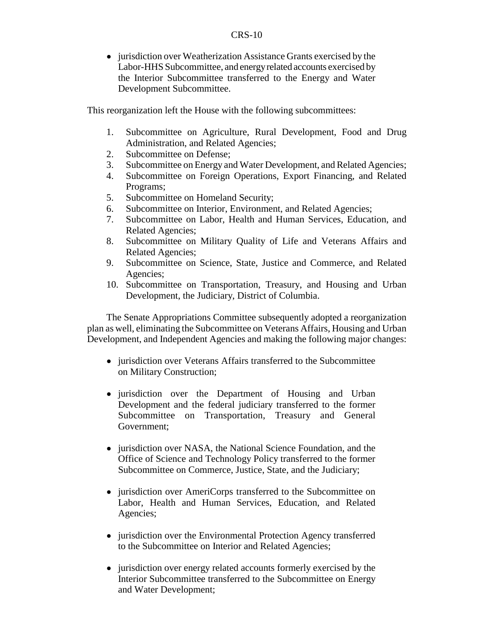• jurisdiction over Weatherization Assistance Grants exercised by the Labor-HHS Subcommittee, and energy related accounts exercised by the Interior Subcommittee transferred to the Energy and Water Development Subcommittee.

This reorganization left the House with the following subcommittees:

- 1. Subcommittee on Agriculture, Rural Development, Food and Drug Administration, and Related Agencies;
- 2. Subcommittee on Defense;
- 3. Subcommittee on Energy and Water Development, and Related Agencies;
- 4. Subcommittee on Foreign Operations, Export Financing, and Related Programs;
- 5. Subcommittee on Homeland Security;
- 6. Subcommittee on Interior, Environment, and Related Agencies;
- 7. Subcommittee on Labor, Health and Human Services, Education, and Related Agencies;
- 8. Subcommittee on Military Quality of Life and Veterans Affairs and Related Agencies;
- 9. Subcommittee on Science, State, Justice and Commerce, and Related Agencies;
- 10. Subcommittee on Transportation, Treasury, and Housing and Urban Development, the Judiciary, District of Columbia.

The Senate Appropriations Committee subsequently adopted a reorganization plan as well, eliminating the Subcommittee on Veterans Affairs, Housing and Urban Development, and Independent Agencies and making the following major changes:

- jurisdiction over Veterans Affairs transferred to the Subcommittee on Military Construction;
- jurisdiction over the Department of Housing and Urban Development and the federal judiciary transferred to the former Subcommittee on Transportation, Treasury and General Government;
- jurisdiction over NASA, the National Science Foundation, and the Office of Science and Technology Policy transferred to the former Subcommittee on Commerce, Justice, State, and the Judiciary;
- jurisdiction over AmeriCorps transferred to the Subcommittee on Labor, Health and Human Services, Education, and Related Agencies;
- jurisdiction over the Environmental Protection Agency transferred to the Subcommittee on Interior and Related Agencies;
- jurisdiction over energy related accounts formerly exercised by the Interior Subcommittee transferred to the Subcommittee on Energy and Water Development;